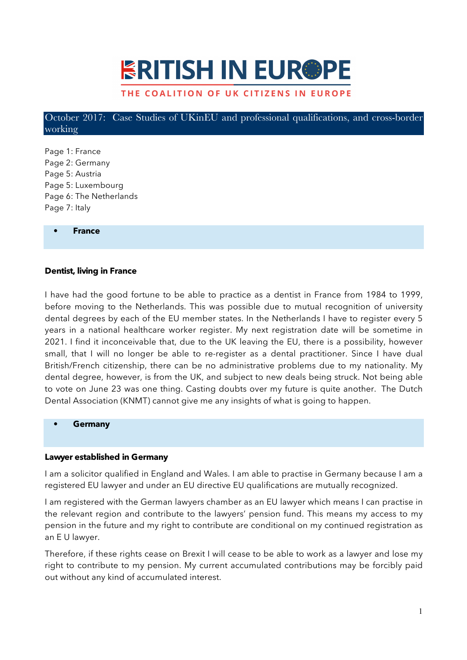# **ERITISH IN EUR®PE**

# THE COALITION OF UK CITIZENS IN EUROPE

October 2017: Case Studies of UKinEU and professional qualifications, and cross-border working

Page 1: France Page 2: Germany Page 5: Austria Page 5: Luxembourg Page 6: The Netherlands Page 7: Italy

**• France**

#### **Dentist, living in France**

I have had the good fortune to be able to practice as a dentist in France from 1984 to 1999, before moving to the Netherlands. This was possible due to mutual recognition of university dental degrees by each of the EU member states. In the Netherlands I have to register every 5 years in a national healthcare worker register. My next registration date will be sometime in 2021. I find it inconceivable that, due to the UK leaving the EU, there is a possibility, however small, that I will no longer be able to re-register as a dental practitioner. Since I have dual British/French citizenship, there can be no administrative problems due to my nationality. My dental degree, however, is from the UK, and subject to new deals being struck. Not being able to vote on June 23 was one thing. Casting doubts over my future is quite another. The Dutch Dental Association (KNMT) cannot give me any insights of what is going to happen.

#### **• Germany**

#### **Lawyer established in Germany**

I am a solicitor qualified in England and Wales. I am able to practise in Germany because I am a registered EU lawyer and under an EU directive EU qualifications are mutually recognized.

I am registered with the German lawyers chamber as an EU lawyer which means I can practise in the relevant region and contribute to the lawyers' pension fund. This means my access to my pension in the future and my right to contribute are conditional on my continued registration as an E U lawyer.

Therefore, if these rights cease on Brexit I will cease to be able to work as a lawyer and lose my right to contribute to my pension. My current accumulated contributions may be forcibly paid out without any kind of accumulated interest.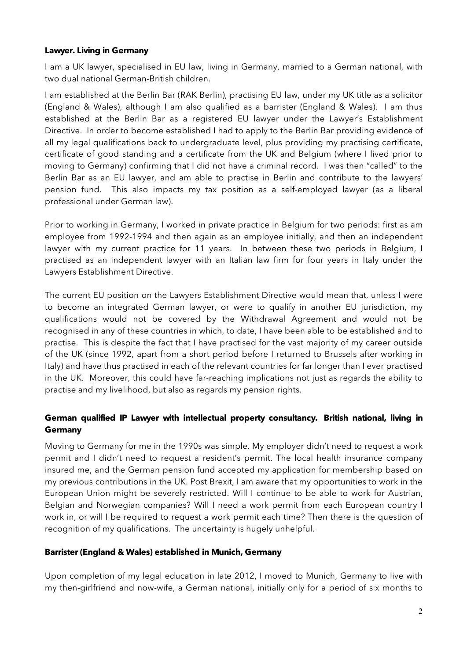## **Lawyer. Living in Germany**

I am a UK lawyer, specialised in EU law, living in Germany, married to a German national, with two dual national German-British children.

I am established at the Berlin Bar (RAK Berlin), practising EU law, under my UK title as a solicitor (England & Wales), although I am also qualified as a barrister (England & Wales). I am thus established at the Berlin Bar as a registered EU lawyer under the Lawyer's Establishment Directive. In order to become established I had to apply to the Berlin Bar providing evidence of all my legal qualifications back to undergraduate level, plus providing my practising certificate, certificate of good standing and a certificate from the UK and Belgium (where I lived prior to moving to Germany) confirming that I did not have a criminal record. I was then "called" to the Berlin Bar as an EU lawyer, and am able to practise in Berlin and contribute to the lawyers' pension fund. This also impacts my tax position as a self-employed lawyer (as a liberal professional under German law).

Prior to working in Germany, I worked in private practice in Belgium for two periods: first as am employee from 1992-1994 and then again as an employee initially, and then an independent lawyer with my current practice for 11 years. In between these two periods in Belgium, I practised as an independent lawyer with an Italian law firm for four years in Italy under the Lawyers Establishment Directive.

The current EU position on the Lawyers Establishment Directive would mean that, unless I were to become an integrated German lawyer, or were to qualify in another EU jurisdiction, my qualifications would not be covered by the Withdrawal Agreement and would not be recognised in any of these countries in which, to date, I have been able to be established and to practise. This is despite the fact that I have practised for the vast majority of my career outside of the UK (since 1992, apart from a short period before I returned to Brussels after working in Italy) and have thus practised in each of the relevant countries for far longer than I ever practised in the UK. Moreover, this could have far-reaching implications not just as regards the ability to practise and my livelihood, but also as regards my pension rights.

# **German qualified IP Lawyer with intellectual property consultancy. British national, living in Germany**

Moving to Germany for me in the 1990s was simple. My employer didn't need to request a work permit and I didn't need to request a resident's permit. The local health insurance company insured me, and the German pension fund accepted my application for membership based on my previous contributions in the UK. Post Brexit, I am aware that my opportunities to work in the European Union might be severely restricted. Will I continue to be able to work for Austrian, Belgian and Norwegian companies? Will I need a work permit from each European country I work in, or will I be required to request a work permit each time? Then there is the question of recognition of my qualifications. The uncertainty is hugely unhelpful.

## **Barrister (England & Wales) established in Munich, Germany**

Upon completion of my legal education in late 2012, I moved to Munich, Germany to live with my then-girlfriend and now-wife, a German national, initially only for a period of six months to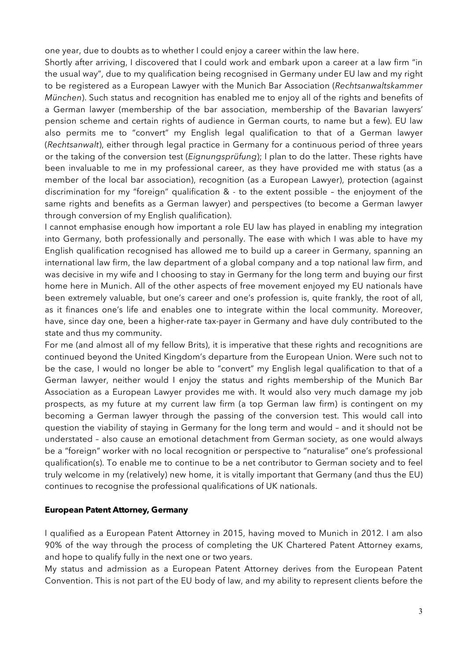one year, due to doubts as to whether I could enjoy a career within the law here.

Shortly after arriving, I discovered that I could work and embark upon a career at a law firm "in the usual way", due to my qualification being recognised in Germany under EU law and my right to be registered as a European Lawyer with the Munich Bar Association (*Rechtsanwaltskammer München*). Such status and recognition has enabled me to enjoy all of the rights and benefits of a German lawyer (membership of the bar association, membership of the Bavarian lawyers' pension scheme and certain rights of audience in German courts, to name but a few). EU law also permits me to "convert" my English legal qualification to that of a German lawyer (*Rechtsanwalt*), either through legal practice in Germany for a continuous period of three years or the taking of the conversion test (*Eignungsprüfung*); I plan to do the latter. These rights have been invaluable to me in my professional career, as they have provided me with status (as a member of the local bar association), recognition (as a European Lawyer), protection (against discrimination for my "foreign" qualification & - to the extent possible – the enjoyment of the same rights and benefits as a German lawyer) and perspectives (to become a German lawyer through conversion of my English qualification).

I cannot emphasise enough how important a role EU law has played in enabling my integration into Germany, both professionally and personally. The ease with which I was able to have my English qualification recognised has allowed me to build up a career in Germany, spanning an international law firm, the law department of a global company and a top national law firm, and was decisive in my wife and I choosing to stay in Germany for the long term and buying our first home here in Munich. All of the other aspects of free movement enjoyed my EU nationals have been extremely valuable, but one's career and one's profession is, quite frankly, the root of all, as it finances one's life and enables one to integrate within the local community. Moreover, have, since day one, been a higher-rate tax-payer in Germany and have duly contributed to the state and thus my community.

For me (and almost all of my fellow Brits), it is imperative that these rights and recognitions are continued beyond the United Kingdom's departure from the European Union. Were such not to be the case, I would no longer be able to "convert" my English legal qualification to that of a German lawyer, neither would I enjoy the status and rights membership of the Munich Bar Association as a European Lawyer provides me with. It would also very much damage my job prospects, as my future at my current law firm (a top German law firm) is contingent on my becoming a German lawyer through the passing of the conversion test. This would call into question the viability of staying in Germany for the long term and would – and it should not be understated – also cause an emotional detachment from German society, as one would always be a "foreign" worker with no local recognition or perspective to "naturalise" one's professional qualification(s). To enable me to continue to be a net contributor to German society and to feel truly welcome in my (relatively) new home, it is vitally important that Germany (and thus the EU) continues to recognise the professional qualifications of UK nationals.

# **European Patent Attorney, Germany**

I qualified as a European Patent Attorney in 2015, having moved to Munich in 2012. I am also 90% of the way through the process of completing the UK Chartered Patent Attorney exams, and hope to qualify fully in the next one or two years.

My status and admission as a European Patent Attorney derives from the European Patent Convention. This is not part of the EU body of law, and my ability to represent clients before the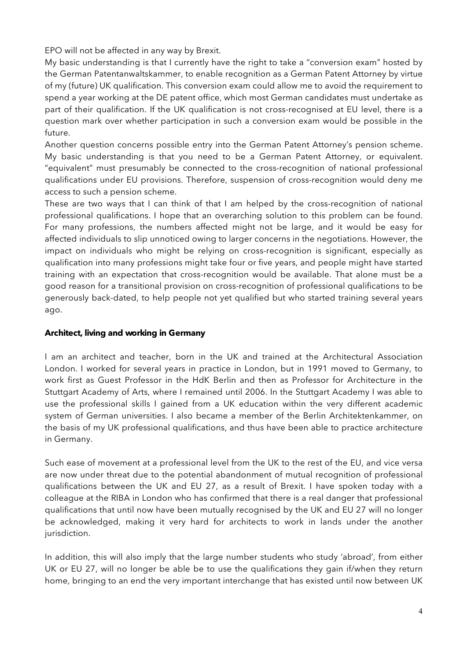EPO will not be affected in any way by Brexit.

My basic understanding is that I currently have the right to take a "conversion exam" hosted by the German Patentanwaltskammer, to enable recognition as a German Patent Attorney by virtue of my (future) UK qualification. This conversion exam could allow me to avoid the requirement to spend a year working at the DE patent office, which most German candidates must undertake as part of their qualification. If the UK qualification is not cross-recognised at EU level, there is a question mark over whether participation in such a conversion exam would be possible in the future.

Another question concerns possible entry into the German Patent Attorney's pension scheme. My basic understanding is that you need to be a German Patent Attorney, or equivalent. "equivalent" must presumably be connected to the cross-recognition of national professional qualifications under EU provisions. Therefore, suspension of cross-recognition would deny me access to such a pension scheme.

These are two ways that I can think of that I am helped by the cross-recognition of national professional qualifications. I hope that an overarching solution to this problem can be found. For many professions, the numbers affected might not be large, and it would be easy for affected individuals to slip unnoticed owing to larger concerns in the negotiations. However, the impact on individuals who might be relying on cross-recognition is significant, especially as qualification into many professions might take four or five years, and people might have started training with an expectation that cross-recognition would be available. That alone must be a good reason for a transitional provision on cross-recognition of professional qualifications to be generously back-dated, to help people not yet qualified but who started training several years ago.

# **Architect, living and working in Germany**

I am an architect and teacher, born in the UK and trained at the Architectural Association London. I worked for several years in practice in London, but in 1991 moved to Germany, to work first as Guest Professor in the HdK Berlin and then as Professor for Architecture in the Stuttgart Academy of Arts, where I remained until 2006. In the Stuttgart Academy I was able to use the professional skills I gained from a UK education within the very different academic system of German universities. I also became a member of the Berlin Architektenkammer, on the basis of my UK professional qualifications, and thus have been able to practice architecture in Germany.

Such ease of movement at a professional level from the UK to the rest of the EU, and vice versa are now under threat due to the potential abandonment of mutual recognition of professional qualifications between the UK and EU 27, as a result of Brexit. I have spoken today with a colleague at the RIBA in London who has confirmed that there is a real danger that professional qualifications that until now have been mutually recognised by the UK and EU 27 will no longer be acknowledged, making it very hard for architects to work in lands under the another jurisdiction.

In addition, this will also imply that the large number students who study 'abroad', from either UK or EU 27, will no longer be able be to use the qualifications they gain if/when they return home, bringing to an end the very important interchange that has existed until now between UK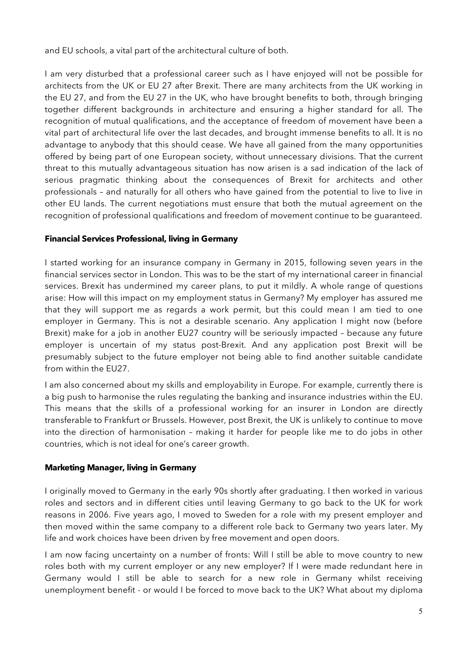and EU schools, a vital part of the architectural culture of both.

I am very disturbed that a professional career such as I have enjoyed will not be possible for architects from the UK or EU 27 after Brexit. There are many architects from the UK working in the EU 27, and from the EU 27 in the UK, who have brought benefits to both, through bringing together different backgrounds in architecture and ensuring a higher standard for all. The recognition of mutual qualifications, and the acceptance of freedom of movement have been a vital part of architectural life over the last decades, and brought immense benefits to all. It is no advantage to anybody that this should cease. We have all gained from the many opportunities offered by being part of one European society, without unnecessary divisions. That the current threat to this mutually advantageous situation has now arisen is a sad indication of the lack of serious pragmatic thinking about the consequences of Brexit for architects and other professionals – and naturally for all others who have gained from the potential to live to live in other EU lands. The current negotiations must ensure that both the mutual agreement on the recognition of professional qualifications and freedom of movement continue to be guaranteed.

# **Financial Services Professional, living in Germany**

I started working for an insurance company in Germany in 2015, following seven years in the financial services sector in London. This was to be the start of my international career in financial services. Brexit has undermined my career plans, to put it mildly. A whole range of questions arise: How will this impact on my employment status in Germany? My employer has assured me that they will support me as regards a work permit, but this could mean I am tied to one employer in Germany. This is not a desirable scenario. Any application I might now (before Brexit) make for a job in another EU27 country will be seriously impacted – because any future employer is uncertain of my status post-Brexit. And any application post Brexit will be presumably subject to the future employer not being able to find another suitable candidate from within the EU27.

I am also concerned about my skills and employability in Europe. For example, currently there is a big push to harmonise the rules regulating the banking and insurance industries within the EU. This means that the skills of a professional working for an insurer in London are directly transferable to Frankfurt or Brussels. However, post Brexit, the UK is unlikely to continue to move into the direction of harmonisation – making it harder for people like me to do jobs in other countries, which is not ideal for one's career growth.

# **Marketing Manager, living in Germany**

I originally moved to Germany in the early 90s shortly after graduating. I then worked in various roles and sectors and in different cities until leaving Germany to go back to the UK for work reasons in 2006. Five years ago, I moved to Sweden for a role with my present employer and then moved within the same company to a different role back to Germany two years later. My life and work choices have been driven by free movement and open doors.

I am now facing uncertainty on a number of fronts: Will I still be able to move country to new roles both with my current employer or any new employer? If I were made redundant here in Germany would I still be able to search for a new role in Germany whilst receiving unemployment benefit - or would I be forced to move back to the UK? What about my diploma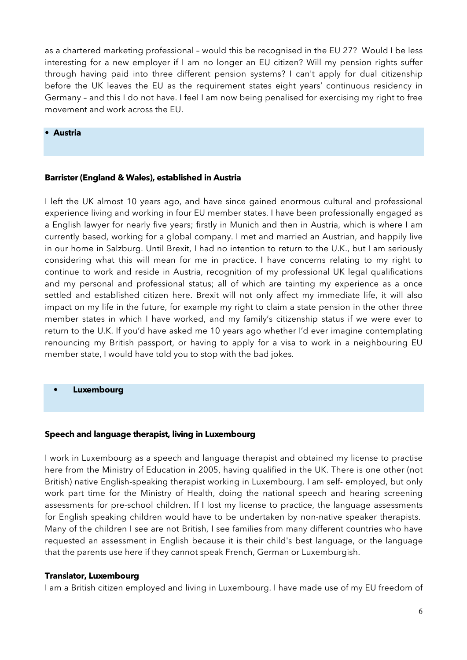as a chartered marketing professional – would this be recognised in the EU 27? Would I be less interesting for a new employer if I am no longer an EU citizen? Will my pension rights suffer through having paid into three different pension systems? I can't apply for dual citizenship before the UK leaves the EU as the requirement states eight years' continuous residency in Germany – and this I do not have. I feel I am now being penalised for exercising my right to free movement and work across the EU.

## **• Austria**

#### **Barrister (England & Wales), established in Austria**

I left the UK almost 10 years ago, and have since gained enormous cultural and professional experience living and working in four EU member states. I have been professionally engaged as a English lawyer for nearly five years; firstly in Munich and then in Austria, which is where I am currently based, working for a global company. I met and married an Austrian, and happily live in our home in Salzburg. Until Brexit, I had no intention to return to the U.K., but I am seriously considering what this will mean for me in practice. I have concerns relating to my right to continue to work and reside in Austria, recognition of my professional UK legal qualifications and my personal and professional status; all of which are tainting my experience as a once settled and established citizen here. Brexit will not only affect my immediate life, it will also impact on my life in the future, for example my right to claim a state pension in the other three member states in which I have worked, and my family's citizenship status if we were ever to return to the U.K. If you'd have asked me 10 years ago whether I'd ever imagine contemplating renouncing my British passport, or having to apply for a visa to work in a neighbouring EU member state, I would have told you to stop with the bad jokes.

**• Luxembourg**

#### **Speech and language therapist, living in Luxembourg**

I work in Luxembourg as a speech and language therapist and obtained my license to practise here from the Ministry of Education in 2005, having qualified in the UK. There is one other (not British) native English-speaking therapist working in Luxembourg. I am self- employed, but only work part time for the Ministry of Health, doing the national speech and hearing screening assessments for pre-school children. If I lost my license to practice, the language assessments for English speaking children would have to be undertaken by non-native speaker therapists. Many of the children I see are not British, I see families from many different countries who have requested an assessment in English because it is their child's best language, or the language that the parents use here if they cannot speak French, German or Luxemburgish.

#### **Translator, Luxembourg**

I am a British citizen employed and living in Luxembourg. I have made use of my EU freedom of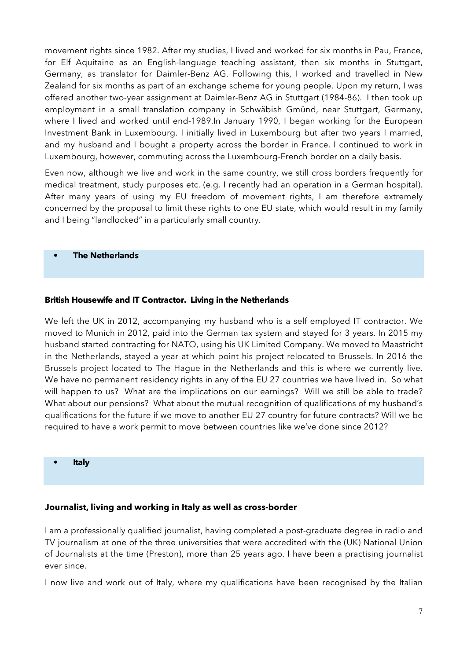movement rights since 1982. After my studies, I lived and worked for six months in Pau, France, for Elf Aquitaine as an English-language teaching assistant, then six months in Stuttgart, Germany, as translator for Daimler-Benz AG. Following this, I worked and travelled in New Zealand for six months as part of an exchange scheme for young people. Upon my return, I was offered another two-year assignment at Daimler-Benz AG in Stuttgart (1984-86). I then took up employment in a small translation company in Schwäbish Gmünd, near Stuttgart, Germany, where I lived and worked until end-1989.In January 1990, I began working for the European Investment Bank in Luxembourg. I initially lived in Luxembourg but after two years I married, and my husband and I bought a property across the border in France. I continued to work in Luxembourg, however, commuting across the Luxembourg-French border on a daily basis.

Even now, although we live and work in the same country, we still cross borders frequently for medical treatment, study purposes etc. (e.g. I recently had an operation in a German hospital). After many years of using my EU freedom of movement rights, I am therefore extremely concerned by the proposal to limit these rights to one EU state, which would result in my family and I being "landlocked" in a particularly small country.

#### **• The Netherlands**

## **British Housewife and IT Contractor. Living in the Netherlands**

We left the UK in 2012, accompanying my husband who is a self employed IT contractor. We moved to Munich in 2012, paid into the German tax system and stayed for 3 years. In 2015 my husband started contracting for NATO, using his UK Limited Company. We moved to Maastricht in the Netherlands, stayed a year at which point his project relocated to Brussels. In 2016 the Brussels project located to The Hague in the Netherlands and this is where we currently live. We have no permanent residency rights in any of the EU 27 countries we have lived in. So what will happen to us? What are the implications on our earnings? Will we still be able to trade? What about our pensions? What about the mutual recognition of qualifications of my husband's qualifications for the future if we move to another EU 27 country for future contracts? Will we be required to have a work permit to move between countries like we've done since 2012?

**• Italy**

## **Journalist, living and working in Italy as well as cross-border**

I am a professionally qualified journalist, having completed a post-graduate degree in radio and TV journalism at one of the three universities that were accredited with the (UK) National Union of Journalists at the time (Preston), more than 25 years ago. I have been a practising journalist ever since.

I now live and work out of Italy, where my qualifications have been recognised by the Italian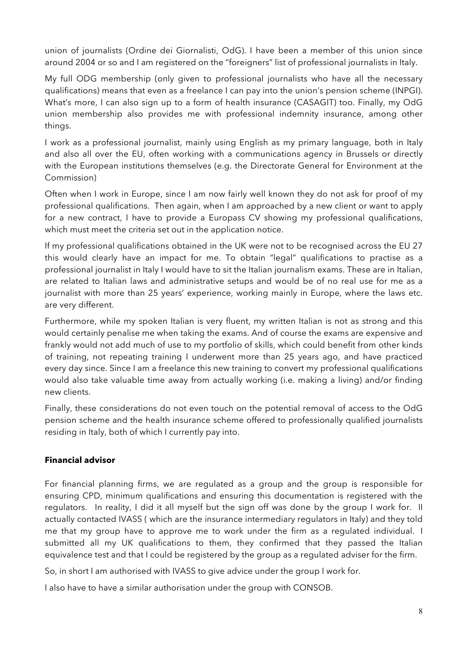union of journalists (Ordine dei Giornalisti, OdG). I have been a member of this union since around 2004 or so and I am registered on the "foreigners" list of professional journalists in Italy.

My full ODG membership (only given to professional journalists who have all the necessary qualifications) means that even as a freelance I can pay into the union's pension scheme (INPGI). What's more, I can also sign up to a form of health insurance (CASAGIT) too. Finally, my OdG union membership also provides me with professional indemnity insurance, among other things.

I work as a professional journalist, mainly using English as my primary language, both in Italy and also all over the EU, often working with a communications agency in Brussels or directly with the European institutions themselves (e.g. the Directorate General for Environment at the Commission)

Often when I work in Europe, since I am now fairly well known they do not ask for proof of my professional qualifications. Then again, when I am approached by a new client or want to apply for a new contract, I have to provide a Europass CV showing my professional qualifications, which must meet the criteria set out in the application notice.

If my professional qualifications obtained in the UK were not to be recognised across the EU 27 this would clearly have an impact for me. To obtain "legal" qualifications to practise as a professional journalist in Italy I would have to sit the Italian journalism exams. These are in Italian, are related to Italian laws and administrative setups and would be of no real use for me as a journalist with more than 25 years' experience, working mainly in Europe, where the laws etc. are very different.

Furthermore, while my spoken Italian is very fluent, my written Italian is not as strong and this would certainly penalise me when taking the exams. And of course the exams are expensive and frankly would not add much of use to my portfolio of skills, which could benefit from other kinds of training, not repeating training I underwent more than 25 years ago, and have practiced every day since. Since I am a freelance this new training to convert my professional qualifications would also take valuable time away from actually working (i.e. making a living) and/or finding new clients.

Finally, these considerations do not even touch on the potential removal of access to the OdG pension scheme and the health insurance scheme offered to professionally qualified journalists residing in Italy, both of which I currently pay into.

# **Financial advisor**

For financial planning firms, we are regulated as a group and the group is responsible for ensuring CPD, minimum qualifications and ensuring this documentation is registered with the regulators. In reality, I did it all myself but the sign off was done by the group I work for. II actually contacted IVASS ( which are the insurance intermediary regulators in Italy) and they told me that my group have to approve me to work under the firm as a regulated individual. I submitted all my UK qualifications to them, they confirmed that they passed the Italian equivalence test and that I could be registered by the group as a regulated adviser for the firm.

So, in short I am authorised with IVASS to give advice under the group I work for.

I also have to have a similar authorisation under the group with CONSOB.